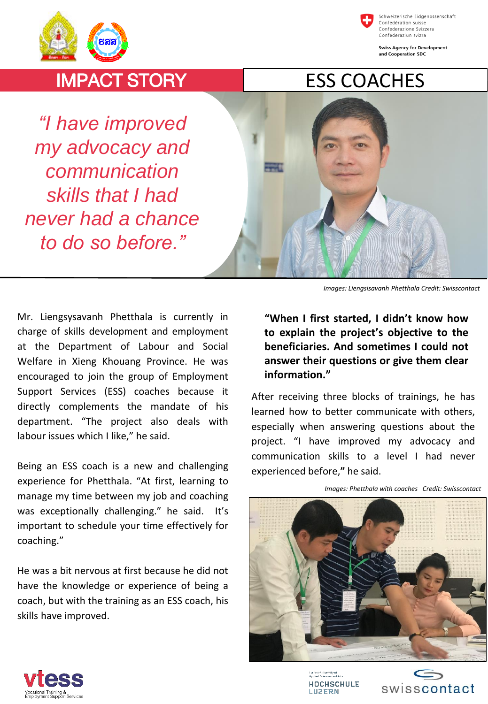

Schweizerische Eidgenossenschaft Confédération suisse Confederazione Svizzera Confederaziun svizra

**Swiss Agency for Development** and Cooperation SDC

## IMPACT STORY

*"I have improved my advocacy and communication skills that I had never had a chance to do so before."*



*Images: Liengsisavanh Phetthala Credit: Swisscontact*

Mr. Liengsysavanh Phetthala is currently in charge of skills development and employment at the Department of Labour and Social Welfare in Xieng Khouang Province. He was encouraged to join the group of Employment Support Services (ESS) coaches because it directly complements the mandate of his department. "The project also deals with labour issues which I like," he said.

Being an ESS coach is a new and challenging experience for Phetthala. "At first, learning to manage my time between my job and coaching was exceptionally challenging." he said. It's important to schedule your time effectively for coaching."

He was a bit nervous at first because he did not have the knowledge or experience of being a coach, but with the training as an ESS coach, his skills have improved.

## **"When I first started, I didn't know how to explain the project's objective to the beneficiaries. And sometimes I could not answer their questions or give them clear information."**

After receiving three blocks of trainings, he has learned how to better communicate with others, especially when answering questions about the project. "I have improved my advocacy and communication skills to a level I had never experienced before,**"** he said.



*Images: Phetthala with coaches Credit: Swisscontact*



icerne University of<br>oplied Sciences and Arts **HOCHSCHULE LUZERN**